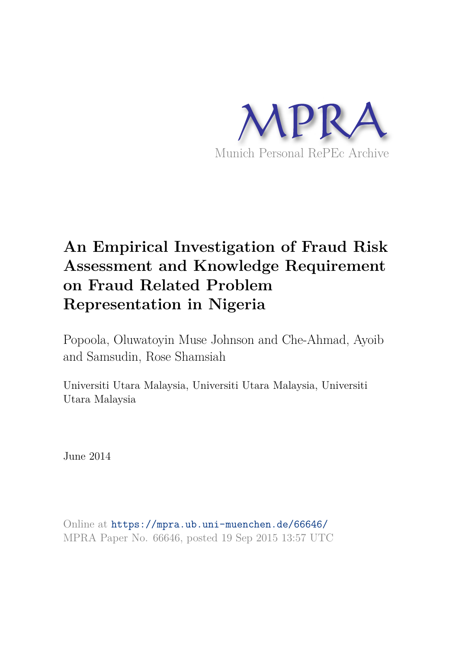

# **An Empirical Investigation of Fraud Risk Assessment and Knowledge Requirement on Fraud Related Problem Representation in Nigeria**

Popoola, Oluwatoyin Muse Johnson and Che-Ahmad, Ayoib and Samsudin, Rose Shamsiah

Universiti Utara Malaysia, Universiti Utara Malaysia, Universiti Utara Malaysia

June 2014

Online at https://mpra.ub.uni-muenchen.de/66646/ MPRA Paper No. 66646, posted 19 Sep 2015 13:57 UTC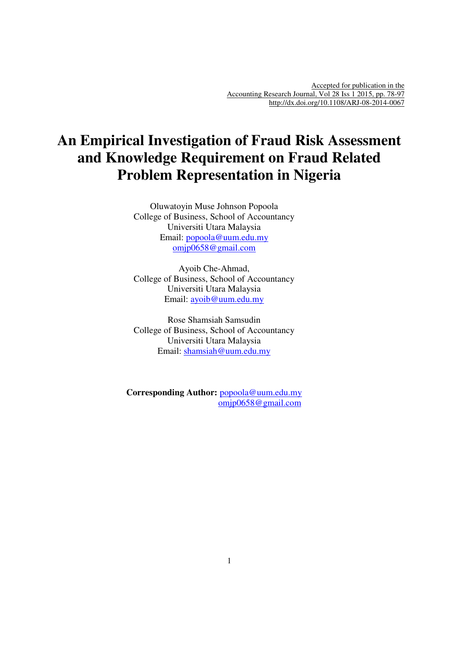Accepted for publication in the Accounting Research Journal, Vol 28 Iss 1 2015, pp. 78-97 http://dx.doi.org/10.1108/ARJ-08-2014-0067

# **An Empirical Investigation of Fraud Risk Assessment and Knowledge Requirement on Fraud Related Problem Representation in Nigeria**

Oluwatoyin Muse Johnson Popoola College of Business, School of Accountancy Universiti Utara Malaysia Email: popoola@uum.edu.my omjp0658@gmail.com

Ayoib Che-Ahmad, College of Business, School of Accountancy Universiti Utara Malaysia Email: ayoib@uum.edu.my

Rose Shamsiah Samsudin College of Business, School of Accountancy Universiti Utara Malaysia Email: shamsiah@uum.edu.my

**Corresponding Author:** popoola@uum.edu.my omjp0658@gmail.com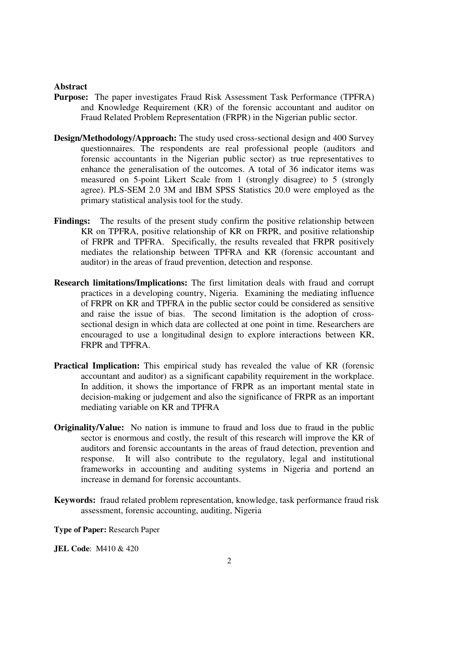# **Abstract**

- **Purpose:** The paper investigates Fraud Risk Assessment Task Performance (TPFRA) and Knowledge Requirement (KR) of the forensic accountant and auditor on Fraud Related Problem Representation (FRPR) in the Nigerian public sector.
- **Design/Methodology/Approach:** The study used cross-sectional design and 400 Survey questionnaires. The respondents are real professional people (auditors and forensic accountants in the Nigerian public sector) as true representatives to enhance the generalisation of the outcomes. A total of 36 indicator items was measured on 5-point Likert Scale from 1 (strongly disagree) to 5 (strongly agree). PLS-SEM 2.0 3M and IBM SPSS Statistics 20.0 were employed as the primary statistical analysis tool for the study.
- Findings: The results of the present study confirm the positive relationship between KR on TPFRA, positive relationship of KR on FRPR, and positive relationship of FRPR and TPFRA. Specifically, the results revealed that FRPR positively mediates the relationship between TPFRA and KR (forensic accountant and auditor) in the areas of fraud prevention, detection and response.
- **Research limitations/Implications:** The first limitation deals with fraud and corrupt practices in a developing country, Nigeria. Examining the mediating influence of FRPR on KR and TPFRA in the public sector could be considered as sensitive and raise the issue of bias. The second limitation is the adoption of crosssectional design in which data are collected at one point in time. Researchers are encouraged to use a longitudinal design to explore interactions between KR, FRPR and TPFRA.
- **Practical Implication:** This empirical study has revealed the value of KR (forensic accountant and auditor) as a significant capability requirement in the workplace. In addition, it shows the importance of FRPR as an important mental state in decision-making or judgement and also the significance of FRPR as an important mediating variable on KR and TPFRA
- **Originality/Value:** No nation is immune to fraud and loss due to fraud in the public sector is enormous and costly, the result of this research will improve the KR of auditors and forensic accountants in the areas of fraud detection, prevention and response. It will also contribute to the regulatory, legal and institutional frameworks in accounting and auditing systems in Nigeria and portend an increase in demand for forensic accountants.
- **Keywords:** fraud related problem representation, knowledge, task performance fraud risk assessment, forensic accounting, auditing, Nigeria

**Type of Paper:** Research Paper

**JEL Code**: M410 & 420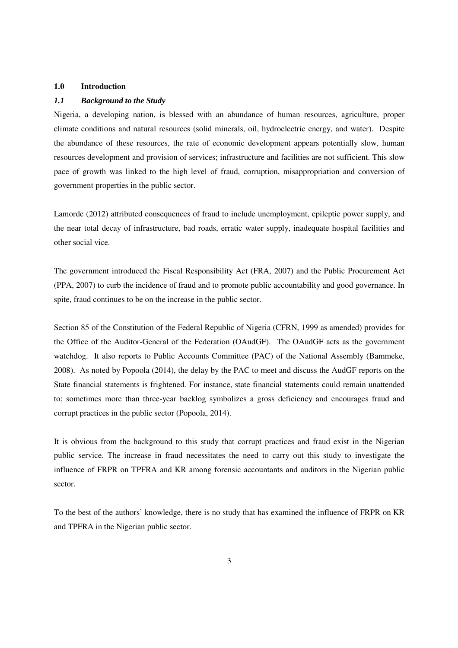#### **1.0 Introduction**

# *1.1 Background to the Study*

Nigeria, a developing nation, is blessed with an abundance of human resources, agriculture, proper climate conditions and natural resources (solid minerals, oil, hydroelectric energy, and water). Despite the abundance of these resources, the rate of economic development appears potentially slow, human resources development and provision of services; infrastructure and facilities are not sufficient. This slow pace of growth was linked to the high level of fraud, corruption, misappropriation and conversion of government properties in the public sector.

Lamorde (2012) attributed consequences of fraud to include unemployment, epileptic power supply, and the near total decay of infrastructure, bad roads, erratic water supply, inadequate hospital facilities and other social vice.

The government introduced the Fiscal Responsibility Act (FRA, 2007) and the Public Procurement Act (PPA, 2007) to curb the incidence of fraud and to promote public accountability and good governance. In spite, fraud continues to be on the increase in the public sector.

Section 85 of the Constitution of the Federal Republic of Nigeria (CFRN, 1999 as amended) provides for the Office of the Auditor-General of the Federation (OAudGF). The OAudGF acts as the government watchdog. It also reports to Public Accounts Committee (PAC) of the National Assembly (Bammeke, 2008). As noted by Popoola (2014), the delay by the PAC to meet and discuss the AudGF reports on the State financial statements is frightened. For instance, state financial statements could remain unattended to; sometimes more than three-year backlog symbolizes a gross deficiency and encourages fraud and corrupt practices in the public sector (Popoola, 2014).

It is obvious from the background to this study that corrupt practices and fraud exist in the Nigerian public service. The increase in fraud necessitates the need to carry out this study to investigate the influence of FRPR on TPFRA and KR among forensic accountants and auditors in the Nigerian public sector.

To the best of the authors' knowledge, there is no study that has examined the influence of FRPR on KR and TPFRA in the Nigerian public sector.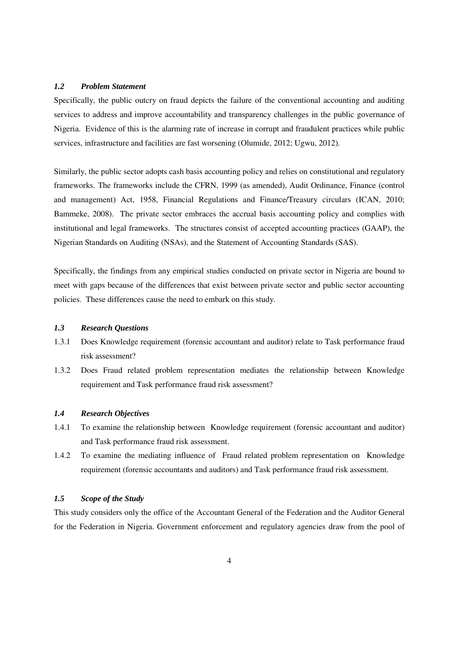#### *1.2 Problem Statement*

Specifically, the public outcry on fraud depicts the failure of the conventional accounting and auditing services to address and improve accountability and transparency challenges in the public governance of Nigeria. Evidence of this is the alarming rate of increase in corrupt and fraudulent practices while public services, infrastructure and facilities are fast worsening (Olumide, 2012; Ugwu, 2012).

Similarly, the public sector adopts cash basis accounting policy and relies on constitutional and regulatory frameworks. The frameworks include the CFRN, 1999 (as amended), Audit Ordinance, Finance (control and management) Act, 1958, Financial Regulations and Finance/Treasury circulars (ICAN, 2010; Bammeke, 2008). The private sector embraces the accrual basis accounting policy and complies with institutional and legal frameworks. The structures consist of accepted accounting practices (GAAP), the Nigerian Standards on Auditing (NSAs), and the Statement of Accounting Standards (SAS).

Specifically, the findings from any empirical studies conducted on private sector in Nigeria are bound to meet with gaps because of the differences that exist between private sector and public sector accounting policies. These differences cause the need to embark on this study.

# *1.3 Research Questions*

- 1.3.1 Does Knowledge requirement (forensic accountant and auditor) relate to Task performance fraud risk assessment?
- 1.3.2 Does Fraud related problem representation mediates the relationship between Knowledge requirement and Task performance fraud risk assessment?

# *1.4 Research Objectives*

- 1.4.1 To examine the relationship between Knowledge requirement (forensic accountant and auditor) and Task performance fraud risk assessment.
- 1.4.2 To examine the mediating influence of Fraud related problem representation on Knowledge requirement (forensic accountants and auditors) and Task performance fraud risk assessment.

# *1.5 Scope of the Study*

This study considers only the office of the Accountant General of the Federation and the Auditor General for the Federation in Nigeria. Government enforcement and regulatory agencies draw from the pool of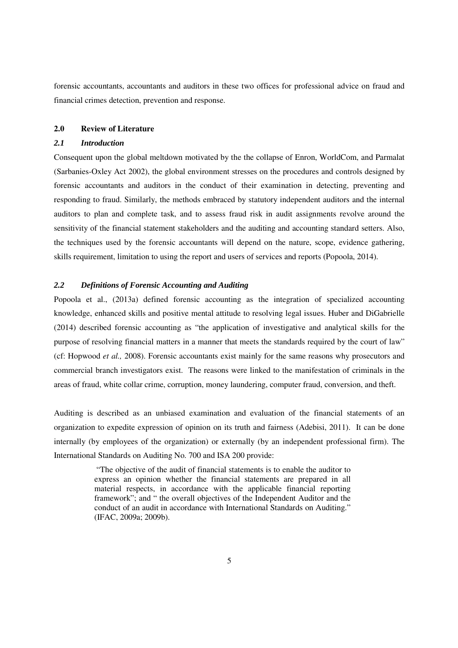forensic accountants, accountants and auditors in these two offices for professional advice on fraud and financial crimes detection, prevention and response.

# **2.0 Review of Literature**

## *2.1 Introduction*

Consequent upon the global meltdown motivated by the the collapse of Enron, WorldCom, and Parmalat (Sarbanies-Oxley Act 2002), the global environment stresses on the procedures and controls designed by forensic accountants and auditors in the conduct of their examination in detecting, preventing and responding to fraud. Similarly, the methods embraced by statutory independent auditors and the internal auditors to plan and complete task, and to assess fraud risk in audit assignments revolve around the sensitivity of the financial statement stakeholders and the auditing and accounting standard setters. Also, the techniques used by the forensic accountants will depend on the nature, scope, evidence gathering, skills requirement, limitation to using the report and users of services and reports (Popoola, 2014).

# *2.2 Definitions of Forensic Accounting and Auditing*

Popoola et al., (2013a) defined forensic accounting as the integration of specialized accounting knowledge, enhanced skills and positive mental attitude to resolving legal issues. Huber and DiGabrielle (2014) described forensic accounting as "the application of investigative and analytical skills for the purpose of resolving financial matters in a manner that meets the standards required by the court of law" (cf: Hopwood *et al.,* 2008). Forensic accountants exist mainly for the same reasons why prosecutors and commercial branch investigators exist. The reasons were linked to the manifestation of criminals in the areas of fraud, white collar crime, corruption, money laundering, computer fraud, conversion, and theft.

Auditing is described as an unbiased examination and evaluation of the financial statements of an organization to expedite expression of opinion on its truth and fairness (Adebisi, 2011). It can be done internally (by employees of the organization) or externally (by an independent professional firm). The International Standards on Auditing No. 700 and ISA 200 provide:

> "The objective of the audit of financial statements is to enable the auditor to express an opinion whether the financial statements are prepared in all material respects, in accordance with the applicable financial reporting framework"; and " the overall objectives of the Independent Auditor and the conduct of an audit in accordance with International Standards on Auditing." (IFAC, 2009a; 2009b).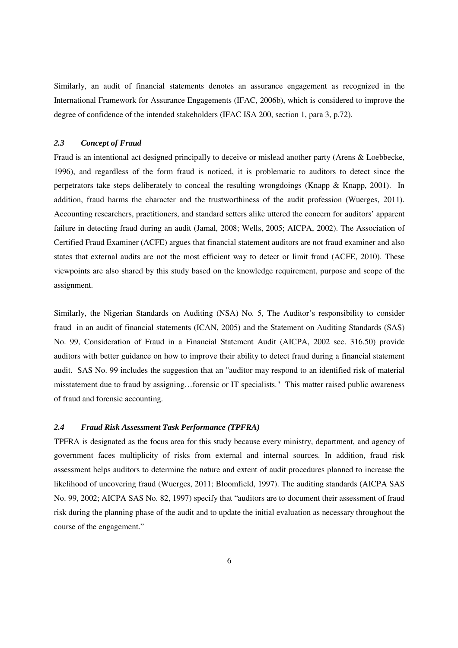Similarly, an audit of financial statements denotes an assurance engagement as recognized in the International Framework for Assurance Engagements (IFAC, 2006b), which is considered to improve the degree of confidence of the intended stakeholders (IFAC ISA 200, section 1, para 3, p.72).

#### *2.3 Concept of Fraud*

Fraud is an intentional act designed principally to deceive or mislead another party (Arens & Loebbecke, 1996), and regardless of the form fraud is noticed, it is problematic to auditors to detect since the perpetrators take steps deliberately to conceal the resulting wrongdoings (Knapp & Knapp, 2001). In addition, fraud harms the character and the trustworthiness of the audit profession (Wuerges, 2011). Accounting researchers, practitioners, and standard setters alike uttered the concern for auditors' apparent failure in detecting fraud during an audit (Jamal, 2008; Wells, 2005; AICPA, 2002). The Association of Certified Fraud Examiner (ACFE) argues that financial statement auditors are not fraud examiner and also states that external audits are not the most efficient way to detect or limit fraud (ACFE, 2010). These viewpoints are also shared by this study based on the knowledge requirement, purpose and scope of the assignment.

Similarly, the Nigerian Standards on Auditing (NSA) No. 5, The Auditor's responsibility to consider fraud in an audit of financial statements (ICAN, 2005) and the Statement on Auditing Standards (SAS) No. 99, Consideration of Fraud in a Financial Statement Audit (AICPA, 2002 sec. 316.50) provide auditors with better guidance on how to improve their ability to detect fraud during a financial statement audit. SAS No. 99 includes the suggestion that an "auditor may respond to an identified risk of material misstatement due to fraud by assigning…forensic or IT specialists." This matter raised public awareness of fraud and forensic accounting.

#### *2.4 Fraud Risk Assessment Task Performance (TPFRA)*

TPFRA is designated as the focus area for this study because every ministry, department, and agency of government faces multiplicity of risks from external and internal sources. In addition, fraud risk assessment helps auditors to determine the nature and extent of audit procedures planned to increase the likelihood of uncovering fraud (Wuerges, 2011; Bloomfield, 1997). The auditing standards (AICPA SAS No. 99, 2002; AICPA SAS No. 82, 1997) specify that "auditors are to document their assessment of fraud risk during the planning phase of the audit and to update the initial evaluation as necessary throughout the course of the engagement."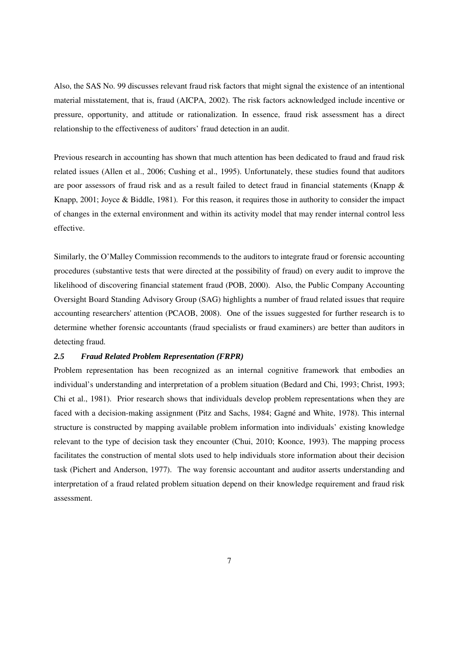Also, the SAS No. 99 discusses relevant fraud risk factors that might signal the existence of an intentional material misstatement, that is, fraud (AICPA, 2002). The risk factors acknowledged include incentive or pressure, opportunity, and attitude or rationalization. In essence, fraud risk assessment has a direct relationship to the effectiveness of auditors' fraud detection in an audit.

Previous research in accounting has shown that much attention has been dedicated to fraud and fraud risk related issues (Allen et al., 2006; Cushing et al., 1995). Unfortunately, these studies found that auditors are poor assessors of fraud risk and as a result failed to detect fraud in financial statements (Knapp & Knapp, 2001; Joyce & Biddle, 1981). For this reason, it requires those in authority to consider the impact of changes in the external environment and within its activity model that may render internal control less effective.

Similarly, the O'Malley Commission recommends to the auditors to integrate fraud or forensic accounting procedures (substantive tests that were directed at the possibility of fraud) on every audit to improve the likelihood of discovering financial statement fraud (POB, 2000). Also, the Public Company Accounting Oversight Board Standing Advisory Group (SAG) highlights a number of fraud related issues that require accounting researchers' attention (PCAOB, 2008). One of the issues suggested for further research is to determine whether forensic accountants (fraud specialists or fraud examiners) are better than auditors in detecting fraud.

#### *2.5 Fraud Related Problem Representation (FRPR)*

Problem representation has been recognized as an internal cognitive framework that embodies an individual's understanding and interpretation of a problem situation (Bedard and Chi, 1993; Christ, 1993; Chi et al., 1981). Prior research shows that individuals develop problem representations when they are faced with a decision-making assignment (Pitz and Sachs, 1984; Gagné and White, 1978). This internal structure is constructed by mapping available problem information into individuals' existing knowledge relevant to the type of decision task they encounter (Chui, 2010; Koonce, 1993). The mapping process facilitates the construction of mental slots used to help individuals store information about their decision task (Pichert and Anderson, 1977). The way forensic accountant and auditor asserts understanding and interpretation of a fraud related problem situation depend on their knowledge requirement and fraud risk assessment.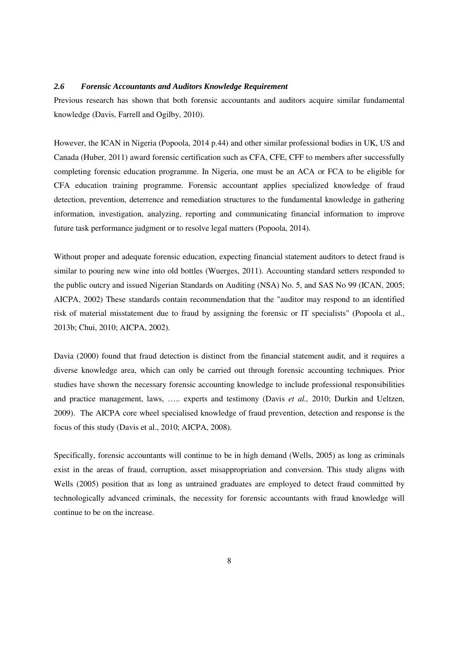#### *2.6 Forensic Accountants and Auditors Knowledge Requirement*

Previous research has shown that both forensic accountants and auditors acquire similar fundamental knowledge (Davis, Farrell and Ogilby, 2010).

However, the ICAN in Nigeria (Popoola, 2014 p.44) and other similar professional bodies in UK, US and Canada (Huber, 2011) award forensic certification such as CFA, CFE, CFF to members after successfully completing forensic education programme. In Nigeria, one must be an ACA or FCA to be eligible for CFA education training programme. Forensic accountant applies specialized knowledge of fraud detection, prevention, deterrence and remediation structures to the fundamental knowledge in gathering information, investigation, analyzing, reporting and communicating financial information to improve future task performance judgment or to resolve legal matters (Popoola, 2014).

Without proper and adequate forensic education, expecting financial statement auditors to detect fraud is similar to pouring new wine into old bottles (Wuerges, 2011). Accounting standard setters responded to the public outcry and issued Nigerian Standards on Auditing (NSA) No. 5, and SAS No 99 (ICAN, 2005; AICPA, 2002) These standards contain recommendation that the "auditor may respond to an identified risk of material misstatement due to fraud by assigning the forensic or IT specialists" (Popoola et al., 2013b; Chui, 2010; AICPA, 2002).

Davia (2000) found that fraud detection is distinct from the financial statement audit, and it requires a diverse knowledge area, which can only be carried out through forensic accounting techniques. Prior studies have shown the necessary forensic accounting knowledge to include professional responsibilities and practice management, laws, ….. experts and testimony (Davis *et al.,* 2010; Durkin and Ueltzen, 2009). The AICPA core wheel specialised knowledge of fraud prevention, detection and response is the focus of this study (Davis et al., 2010; AICPA, 2008).

Specifically, forensic accountants will continue to be in high demand (Wells, 2005) as long as criminals exist in the areas of fraud, corruption, asset misappropriation and conversion. This study aligns with Wells (2005) position that as long as untrained graduates are employed to detect fraud committed by technologically advanced criminals, the necessity for forensic accountants with fraud knowledge will continue to be on the increase.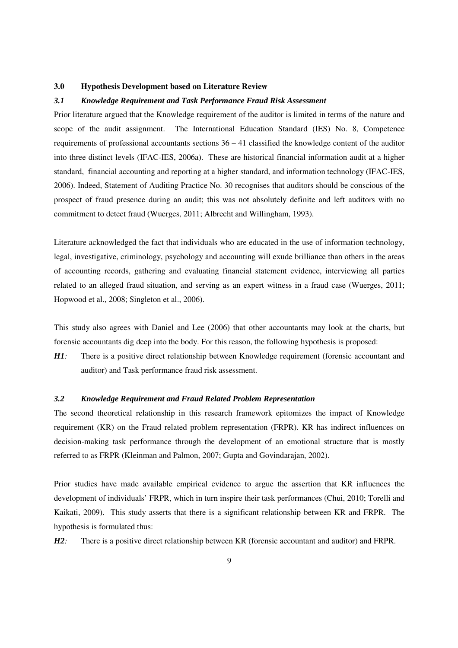#### **3.0 Hypothesis Development based on Literature Review**

# *3.1 Knowledge Requirement and Task Performance Fraud Risk Assessment*

Prior literature argued that the Knowledge requirement of the auditor is limited in terms of the nature and scope of the audit assignment. The International Education Standard (IES) No. 8, Competence requirements of professional accountants sections  $36 - 41$  classified the knowledge content of the auditor into three distinct levels (IFAC-IES, 2006a). These are historical financial information audit at a higher standard, financial accounting and reporting at a higher standard, and information technology (IFAC-IES, 2006). Indeed, Statement of Auditing Practice No. 30 recognises that auditors should be conscious of the prospect of fraud presence during an audit; this was not absolutely definite and left auditors with no commitment to detect fraud (Wuerges, 2011; Albrecht and Willingham, 1993).

Literature acknowledged the fact that individuals who are educated in the use of information technology, legal, investigative, criminology, psychology and accounting will exude brilliance than others in the areas of accounting records, gathering and evaluating financial statement evidence, interviewing all parties related to an alleged fraud situation, and serving as an expert witness in a fraud case (Wuerges, 2011; Hopwood et al., 2008; Singleton et al., 2006).

This study also agrees with Daniel and Lee (2006) that other accountants may look at the charts, but forensic accountants dig deep into the body. For this reason, the following hypothesis is proposed:

*H1:* There is a positive direct relationship between Knowledge requirement (forensic accountant and auditor) and Task performance fraud risk assessment.

#### *3.2 Knowledge Requirement and Fraud Related Problem Representation*

The second theoretical relationship in this research framework epitomizes the impact of Knowledge requirement (KR) on the Fraud related problem representation (FRPR). KR has indirect influences on decision-making task performance through the development of an emotional structure that is mostly referred to as FRPR (Kleinman and Palmon, 2007; Gupta and Govindarajan, 2002).

Prior studies have made available empirical evidence to argue the assertion that KR influences the development of individuals' FRPR, which in turn inspire their task performances (Chui, 2010; Torelli and Kaikati, 2009). This study asserts that there is a significant relationship between KR and FRPR. The hypothesis is formulated thus:

*H2:* There is a positive direct relationship between KR (forensic accountant and auditor) and FRPR.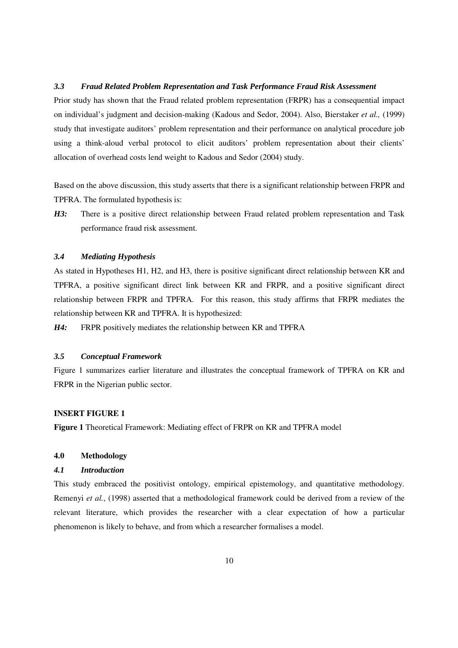#### *3.3 Fraud Related Problem Representation and Task Performance Fraud Risk Assessment*

Prior study has shown that the Fraud related problem representation (FRPR) has a consequential impact on individual's judgment and decision-making (Kadous and Sedor, 2004). Also, Bierstaker *et al.,* (1999) study that investigate auditors' problem representation and their performance on analytical procedure job using a think-aloud verbal protocol to elicit auditors' problem representation about their clients' allocation of overhead costs lend weight to Kadous and Sedor (2004) study.

Based on the above discussion, this study asserts that there is a significant relationship between FRPR and TPFRA. The formulated hypothesis is:

*H3:* There is a positive direct relationship between Fraud related problem representation and Task performance fraud risk assessment.

# *3.4 Mediating Hypothesis*

As stated in Hypotheses H1, H2, and H3, there is positive significant direct relationship between KR and TPFRA, a positive significant direct link between KR and FRPR, and a positive significant direct relationship between FRPR and TPFRA. For this reason, this study affirms that FRPR mediates the relationship between KR and TPFRA. It is hypothesized:

*H4:* FRPR positively mediates the relationship between KR and TPFRA

## *3.5 Conceptual Framework*

Figure 1 summarizes earlier literature and illustrates the conceptual framework of TPFRA on KR and FRPR in the Nigerian public sector.

# **INSERT FIGURE 1**

**Figure 1** Theoretical Framework: Mediating effect of FRPR on KR and TPFRA model

# **4.0 Methodology**

# *4.1 Introduction*

This study embraced the positivist ontology, empirical epistemology, and quantitative methodology. Remenyi *et al.*, (1998) asserted that a methodological framework could be derived from a review of the relevant literature, which provides the researcher with a clear expectation of how a particular phenomenon is likely to behave, and from which a researcher formalises a model.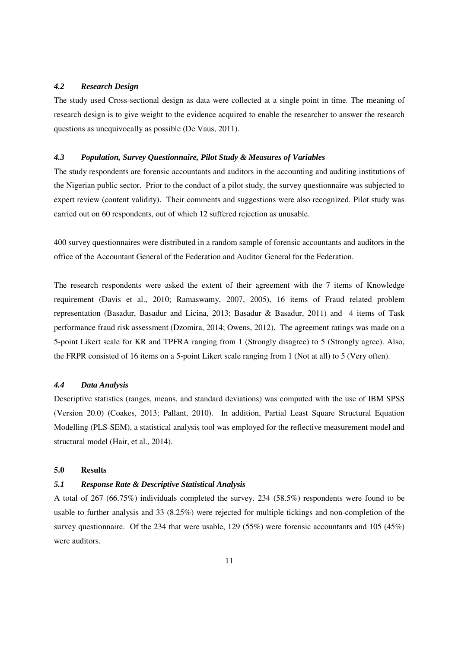## *4.2 Research Design*

The study used Cross-sectional design as data were collected at a single point in time. The meaning of research design is to give weight to the evidence acquired to enable the researcher to answer the research questions as unequivocally as possible (De Vaus, 2011).

#### *4.3 Population, Survey Questionnaire, Pilot Study & Measures of Variables*

The study respondents are forensic accountants and auditors in the accounting and auditing institutions of the Nigerian public sector. Prior to the conduct of a pilot study, the survey questionnaire was subjected to expert review (content validity). Their comments and suggestions were also recognized. Pilot study was carried out on 60 respondents, out of which 12 suffered rejection as unusable.

400 survey questionnaires were distributed in a random sample of forensic accountants and auditors in the office of the Accountant General of the Federation and Auditor General for the Federation.

The research respondents were asked the extent of their agreement with the 7 items of Knowledge requirement (Davis et al., 2010; Ramaswamy, 2007, 2005), 16 items of Fraud related problem representation (Basadur, Basadur and Licina, 2013; Basadur & Basadur, 2011) and 4 items of Task performance fraud risk assessment (Dzomira, 2014; Owens, 2012). The agreement ratings was made on a 5-point Likert scale for KR and TPFRA ranging from 1 (Strongly disagree) to 5 (Strongly agree). Also, the FRPR consisted of 16 items on a 5-point Likert scale ranging from 1 (Not at all) to 5 (Very often).

# *4.4 Data Analysis*

Descriptive statistics (ranges, means, and standard deviations) was computed with the use of IBM SPSS (Version 20.0) (Coakes, 2013; Pallant, 2010). In addition, Partial Least Square Structural Equation Modelling (PLS-SEM), a statistical analysis tool was employed for the reflective measurement model and structural model (Hair, et al., 2014).

#### **5.0 Results**

# *5.1 Response Rate & Descriptive Statistical Analysis*

A total of 267 (66.75%) individuals completed the survey. 234 (58.5%) respondents were found to be usable to further analysis and 33 (8.25%) were rejected for multiple tickings and non-completion of the survey questionnaire. Of the 234 that were usable, 129 (55%) were forensic accountants and 105 (45%) were auditors.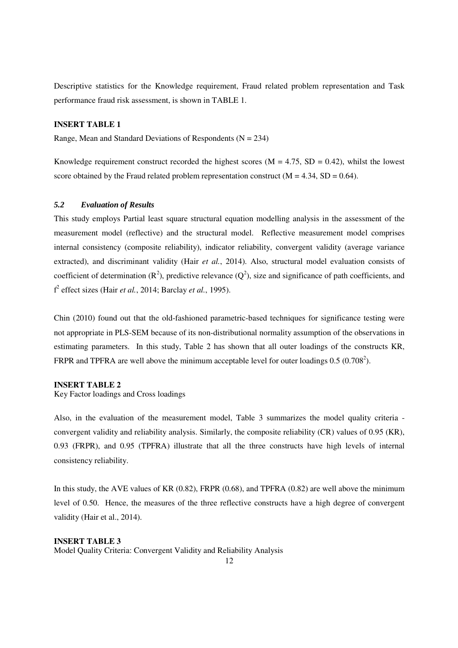Descriptive statistics for the Knowledge requirement, Fraud related problem representation and Task performance fraud risk assessment, is shown in TABLE 1.

# **INSERT TABLE 1**

Range, Mean and Standard Deviations of Respondents ( $N = 234$ )

Knowledge requirement construct recorded the highest scores ( $M = 4.75$ ,  $SD = 0.42$ ), whilst the lowest score obtained by the Fraud related problem representation construct ( $M = 4.34$ , SD = 0.64).

### *5.2 Evaluation of Results*

This study employs Partial least square structural equation modelling analysis in the assessment of the measurement model (reflective) and the structural model. Reflective measurement model comprises internal consistency (composite reliability), indicator reliability, convergent validity (average variance extracted), and discriminant validity (Hair *et al.*, 2014). Also, structural model evaluation consists of coefficient of determination  $(R^2)$ , predictive relevance  $(Q^2)$ , size and significance of path coefficients, and f 2 effect sizes (Hair *et al.*, 2014; Barclay *et al.*, 1995).

Chin (2010) found out that the old-fashioned parametric-based techniques for significance testing were not appropriate in PLS-SEM because of its non-distributional normality assumption of the observations in estimating parameters. In this study, Table 2 has shown that all outer loadings of the constructs KR, FRPR and TPFRA are well above the minimum acceptable level for outer loadings  $0.5 (0.708<sup>2</sup>)$ .

#### **INSERT TABLE 2**

Key Factor loadings and Cross loadings

Also, in the evaluation of the measurement model, Table 3 summarizes the model quality criteria convergent validity and reliability analysis. Similarly, the composite reliability (CR) values of 0.95 (KR), 0.93 (FRPR), and 0.95 (TPFRA) illustrate that all the three constructs have high levels of internal consistency reliability.

In this study, the AVE values of KR (0.82), FRPR (0.68), and TPFRA (0.82) are well above the minimum level of 0.50. Hence, the measures of the three reflective constructs have a high degree of convergent validity (Hair et al., 2014).

#### **INSERT TABLE 3**

Model Quality Criteria: Convergent Validity and Reliability Analysis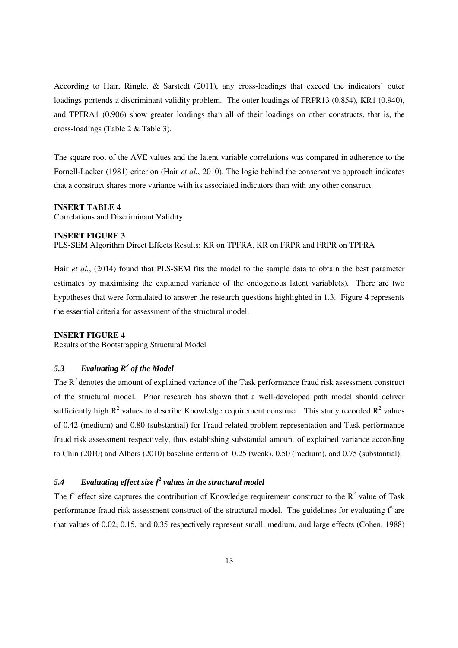According to Hair, Ringle, & Sarstedt (2011), any cross-loadings that exceed the indicators' outer loadings portends a discriminant validity problem. The outer loadings of FRPR13 (0.854), KR1 (0.940), and TPFRA1 (0.906) show greater loadings than all of their loadings on other constructs, that is, the cross-loadings (Table 2 & Table 3).

The square root of the AVE values and the latent variable correlations was compared in adherence to the Fornell-Lacker (1981) criterion (Hair *et al.*, 2010). The logic behind the conservative approach indicates that a construct shares more variance with its associated indicators than with any other construct.

#### **INSERT TABLE 4**

Correlations and Discriminant Validity

#### **INSERT FIGURE 3**

PLS-SEM Algorithm Direct Effects Results: KR on TPFRA, KR on FRPR and FRPR on TPFRA

Hair *et al.*, (2014) found that PLS-SEM fits the model to the sample data to obtain the best parameter estimates by maximising the explained variance of the endogenous latent variable(s). There are two hypotheses that were formulated to answer the research questions highlighted in 1.3. Figure 4 represents the essential criteria for assessment of the structural model.

#### **INSERT FIGURE 4**

Results of the Bootstrapping Structural Model

# *5.3 Evaluating R<sup>2</sup> of the Model*

The  $R<sup>2</sup>$  denotes the amount of explained variance of the Task performance fraud risk assessment construct of the structural model. Prior research has shown that a well-developed path model should deliver sufficiently high  $R^2$  values to describe Knowledge requirement construct. This study recorded  $R^2$  values of 0.42 (medium) and 0.80 (substantial) for Fraud related problem representation and Task performance fraud risk assessment respectively, thus establishing substantial amount of explained variance according to Chin (2010) and Albers (2010) baseline criteria of 0.25 (weak), 0.50 (medium), and 0.75 (substantial).

# 5.4 Evaluating effect size  $f^2$  values in the structural model

The  $f^2$  effect size captures the contribution of Knowledge requirement construct to the  $R^2$  value of Task performance fraud risk assessment construct of the structural model. The guidelines for evaluating  $f^2$  are that values of 0.02, 0.15, and 0.35 respectively represent small, medium, and large effects (Cohen, 1988)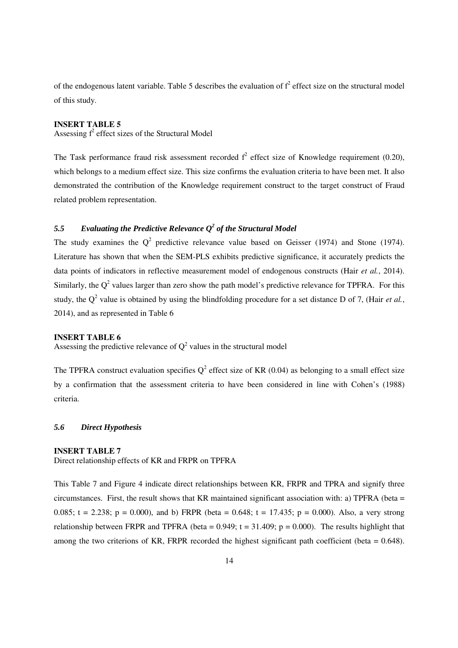of the endogenous latent variable. Table 5 describes the evaluation of  $f^2$  effect size on the structural model of this study.

#### **INSERT TABLE 5**

Assessing  $f^2$  effect sizes of the Structural Model

The Task performance fraud risk assessment recorded  $f^2$  effect size of Knowledge requirement (0.20), which belongs to a medium effect size. This size confirms the evaluation criteria to have been met. It also demonstrated the contribution of the Knowledge requirement construct to the target construct of Fraud related problem representation.

# 5.5 Evaluating the Predictive Relevance  $Q^2$  of the Structural Model

The study examines the  $Q^2$  predictive relevance value based on Geisser (1974) and Stone (1974). Literature has shown that when the SEM-PLS exhibits predictive significance, it accurately predicts the data points of indicators in reflective measurement model of endogenous constructs (Hair *et al.*, 2014). Similarly, the  $Q^2$  values larger than zero show the path model's predictive relevance for TPFRA. For this study, the  $Q^2$  value is obtained by using the blindfolding procedure for a set distance D of 7, (Hair *et al.*, 2014), and as represented in Table 6

#### **INSERT TABLE 6**

Assessing the predictive relevance of  $Q^2$  values in the structural model

The TPFRA construct evaluation specifies  $Q^2$  effect size of KR (0.04) as belonging to a small effect size by a confirmation that the assessment criteria to have been considered in line with Cohen's (1988) criteria.

#### *5.6 Direct Hypothesis*

#### **INSERT TABLE 7**

Direct relationship effects of KR and FRPR on TPFRA

This Table 7 and Figure 4 indicate direct relationships between KR, FRPR and TPRA and signify three circumstances. First, the result shows that KR maintained significant association with: a) TPFRA (beta = 0.085; t = 2.238; p = 0.000), and b) FRPR (beta = 0.648; t = 17.435; p = 0.000). Also, a very strong relationship between FRPR and TPFRA (beta =  $0.949$ ; t =  $31.409$ ; p =  $0.000$ ). The results highlight that among the two criterions of KR, FRPR recorded the highest significant path coefficient (beta  $= 0.648$ ).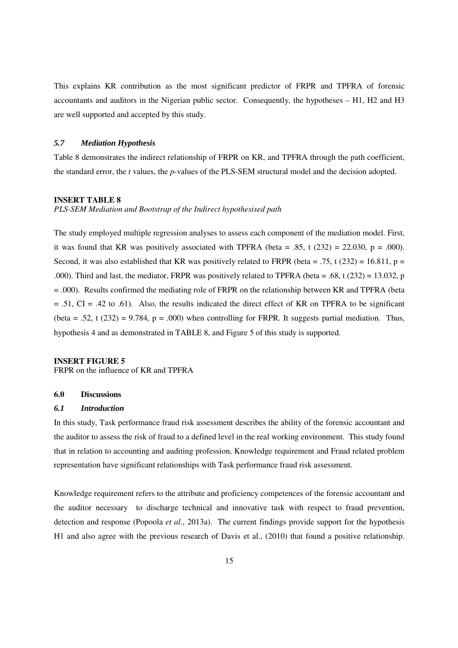This explains KR contribution as the most significant predictor of FRPR and TPFRA of forensic accountants and auditors in the Nigerian public sector. Consequently, the hypotheses – H1, H2 and H3 are well supported and accepted by this study.

#### *5.7 Mediation Hypothesis*

Table 8 demonstrates the indirect relationship of FRPR on KR, and TPFRA through the path coefficient, the standard error, the *t* values, the *p*-values of the PLS-SEM structural model and the decision adopted.

## **INSERT TABLE 8**

*PLS-SEM Mediation and Bootstrap of the Indirect hypothesised path* 

The study employed multiple regression analyses to assess each component of the mediation model. First, it was found that KR was positively associated with TPFRA (beta = .85, t  $(232)$  = 22.030, p = .000). Second, it was also established that KR was positively related to FRPR (beta = .75, t (232) = 16.811, p = .000). Third and last, the mediator, FRPR was positively related to TPFRA (beta = .68, t (232) = 13.032, p = .000). Results confirmed the mediating role of FRPR on the relationship between KR and TPFRA (beta  $= .51$ , CI = .42 to .61). Also, the results indicated the direct effect of KR on TPFRA to be significant (beta = .52, t (232) = 9.784,  $p = .000$ ) when controlling for FRPR. It suggests partial mediation. Thus, hypothesis 4 and as demonstrated in TABLE 8, and Figure 5 of this study is supported.

# **INSERT FIGURE 5**

FRPR on the influence of KR and TPFRA

# **6.0 Discussions**

# *6.1 Introduction*

In this study, Task performance fraud risk assessment describes the ability of the forensic accountant and the auditor to assess the risk of fraud to a defined level in the real working environment. This study found that in relation to accounting and auditing profession, Knowledge requirement and Fraud related problem representation have significant relationships with Task performance fraud risk assessment.

Knowledge requirement refers to the attribute and proficiency competences of the forensic accountant and the auditor necessary to discharge technical and innovative task with respect to fraud prevention, detection and response (Popoola *et al.*, 2013a). The current findings provide support for the hypothesis H1 and also agree with the previous research of Davis et al., (2010) that found a positive relationship.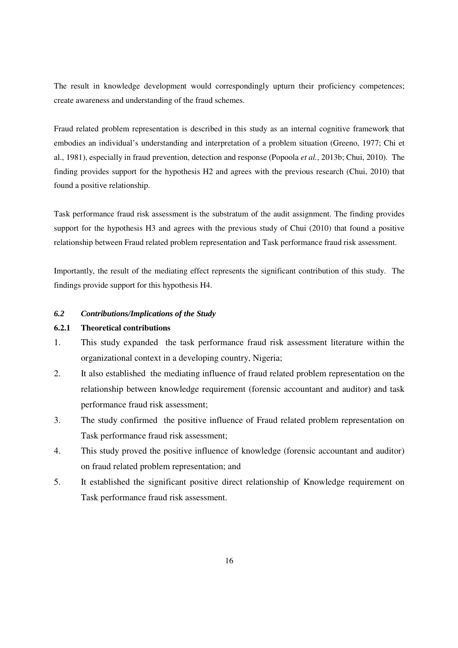The result in knowledge development would correspondingly upturn their proficiency competences; create awareness and understanding of the fraud schemes.

Fraud related problem representation is described in this study as an internal cognitive framework that embodies an individual's understanding and interpretation of a problem situation (Greeno, 1977; Chi et al., 1981), especially in fraud prevention, detection and response (Popoola *et al.*, 2013b; Chui, 2010). The finding provides support for the hypothesis H2 and agrees with the previous research (Chui, 2010) that found a positive relationship.

Task performance fraud risk assessment is the substratum of the audit assignment. The finding provides support for the hypothesis H3 and agrees with the previous study of Chui (2010) that found a positive relationship between Fraud related problem representation and Task performance fraud risk assessment.

Importantly, the result of the mediating effect represents the significant contribution of this study. The findings provide support for this hypothesis H4.

# *6.2 Contributions/Implications of the Study*

# **6.2.1 Theoretical contributions**

- 1. This study expanded the task performance fraud risk assessment literature within the organizational context in a developing country, Nigeria;
- 2. It also established the mediating influence of fraud related problem representation on the relationship between knowledge requirement (forensic accountant and auditor) and task performance fraud risk assessment;
- 3. The study confirmed the positive influence of Fraud related problem representation on Task performance fraud risk assessment;
- 4. This study proved the positive influence of knowledge (forensic accountant and auditor) on fraud related problem representation; and
- 5. It established the significant positive direct relationship of Knowledge requirement on Task performance fraud risk assessment.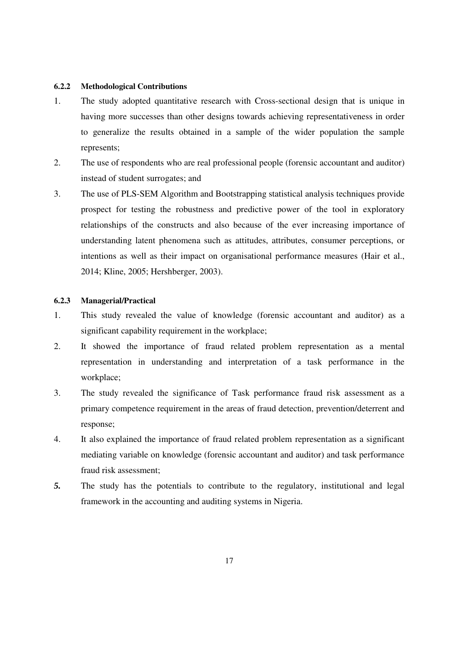# **6.2.2 Methodological Contributions**

- 1. The study adopted quantitative research with Cross-sectional design that is unique in having more successes than other designs towards achieving representativeness in order to generalize the results obtained in a sample of the wider population the sample represents;
- 2. The use of respondents who are real professional people (forensic accountant and auditor) instead of student surrogates; and
- 3. The use of PLS-SEM Algorithm and Bootstrapping statistical analysis techniques provide prospect for testing the robustness and predictive power of the tool in exploratory relationships of the constructs and also because of the ever increasing importance of understanding latent phenomena such as attitudes, attributes, consumer perceptions, or intentions as well as their impact on organisational performance measures (Hair et al., 2014; Kline, 2005; Hershberger, 2003).

# **6.2.3 Managerial/Practical**

- 1. This study revealed the value of knowledge (forensic accountant and auditor) as a significant capability requirement in the workplace;
- 2. It showed the importance of fraud related problem representation as a mental representation in understanding and interpretation of a task performance in the workplace;
- 3. The study revealed the significance of Task performance fraud risk assessment as a primary competence requirement in the areas of fraud detection, prevention/deterrent and response;
- 4. It also explained the importance of fraud related problem representation as a significant mediating variable on knowledge (forensic accountant and auditor) and task performance fraud risk assessment;
- *5.* The study has the potentials to contribute to the regulatory, institutional and legal framework in the accounting and auditing systems in Nigeria.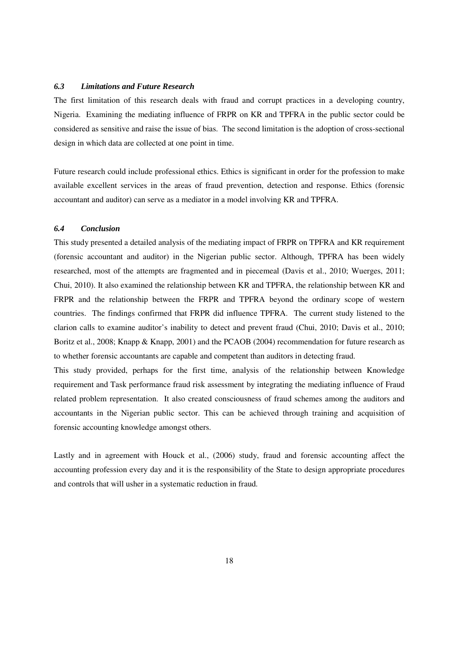# *6.3 Limitations and Future Research*

The first limitation of this research deals with fraud and corrupt practices in a developing country, Nigeria. Examining the mediating influence of FRPR on KR and TPFRA in the public sector could be considered as sensitive and raise the issue of bias. The second limitation is the adoption of cross-sectional design in which data are collected at one point in time.

Future research could include professional ethics. Ethics is significant in order for the profession to make available excellent services in the areas of fraud prevention, detection and response. Ethics (forensic accountant and auditor) can serve as a mediator in a model involving KR and TPFRA.

#### *6.4 Conclusion*

This study presented a detailed analysis of the mediating impact of FRPR on TPFRA and KR requirement (forensic accountant and auditor) in the Nigerian public sector. Although, TPFRA has been widely researched, most of the attempts are fragmented and in piecemeal (Davis et al., 2010; Wuerges, 2011; Chui, 2010). It also examined the relationship between KR and TPFRA, the relationship between KR and FRPR and the relationship between the FRPR and TPFRA beyond the ordinary scope of western countries. The findings confirmed that FRPR did influence TPFRA. The current study listened to the clarion calls to examine auditor's inability to detect and prevent fraud (Chui, 2010; Davis et al., 2010; Boritz et al., 2008; Knapp & Knapp, 2001) and the PCAOB (2004) recommendation for future research as to whether forensic accountants are capable and competent than auditors in detecting fraud.

This study provided, perhaps for the first time, analysis of the relationship between Knowledge requirement and Task performance fraud risk assessment by integrating the mediating influence of Fraud related problem representation. It also created consciousness of fraud schemes among the auditors and accountants in the Nigerian public sector. This can be achieved through training and acquisition of forensic accounting knowledge amongst others.

Lastly and in agreement with Houck et al., (2006) study, fraud and forensic accounting affect the accounting profession every day and it is the responsibility of the State to design appropriate procedures and controls that will usher in a systematic reduction in fraud.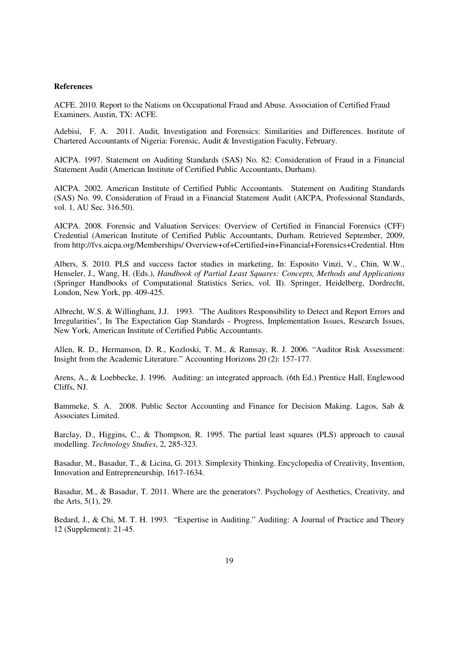#### **References**

ACFE. 2010. Report to the Nations on Occupational Fraud and Abuse. Association of Certified Fraud Examiners. Austin, TX: ACFE.

Adebisi, F. A. 2011. Audit, Investigation and Forensics: Similarities and Differences. Institute of Chartered Accountants of Nigeria: Forensic, Audit & Investigation Faculty, February.

AICPA. 1997. Statement on Auditing Standards (SAS) No. 82: Consideration of Fraud in a Financial Statement Audit (American Institute of Certified Public Accountants, Durham).

AICPA. 2002. American Institute of Certified Public Accountants. Statement on Auditing Standards (SAS) No. 99, Consideration of Fraud in a Financial Statement Audit (AICPA, Professional Standards, vol. 1, AU Sec. 316.50).

AICPA. 2008. Forensic and Valuation Services: Overview of Certified in Financial Forensics (CFF) Credential (American Institute of Certified Public Accountants, Durham. Retrieved September, 2009, from http://fvs.aicpa.org/Memberships/ Overview+of+Certified+in+Financial+Forensics+Credential. Htm

Albers, S. 2010. PLS and success factor studies in marketing, In: Esposito Vinzi, V., Chin, W.W., Henseler, J., Wang, H. (Eds.), *Handbook of Partial Least Squares: Concepts, Methods and Applications*  (Springer Handbooks of Computational Statistics Series, vol. II). Springer, Heidelberg, Dordrecht, London, New York, pp. 409-425.

Albrecht, W.S. & Willingham, J.J. 1993. "The Auditors Responsibility to Detect and Report Errors and Irregularities", In The Expectation Gap Standards - Progress, Implementation Issues, Research Issues, New York, American Institute of Certified Public Accountants.

Allen, R. D., Hermanson, D. R., Kozloski, T. M., & Ramsay, R. J. 2006. "Auditor Risk Assessment: Insight from the Academic Literature." Accounting Horizons 20 (2): 157-177.

Arens, A., & Loebbecke, J. 1996. Auditing: an integrated approach. (6th Ed.) Prentice Hall, Englewood Cliffs, NJ.

Bammeke, S. A. 2008. Public Sector Accounting and Finance for Decision Making. Lagos, Sab & Associates Limited.

Barclay, D., Higgins, C., & Thompson, R. 1995. The partial least squares (PLS) approach to causal modelling. *Technology Studies*, 2, 285-323.

Basadur, M., Basadur, T., & Licina, G. 2013. Simplexity Thinking. Encyclopedia of Creativity, Invention, Innovation and Entrepreneurship, 1617-1634.

Basadur, M., & Basadur, T. 2011. Where are the generators?. Psychology of Aesthetics, Creativity, and the Arts, 5(1), 29.

Bedard, J., & Chi, M. T. H. 1993. "Expertise in Auditing." Auditing: A Journal of Practice and Theory 12 (Supplement): 21-45.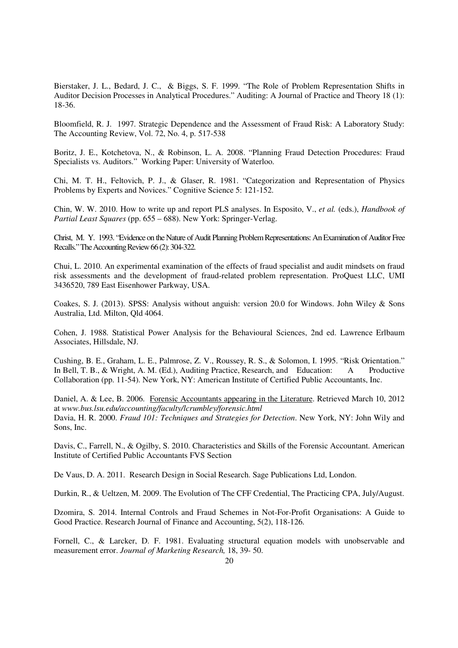Bierstaker, J. L., Bedard, J. C., & Biggs, S. F. 1999. "The Role of Problem Representation Shifts in Auditor Decision Processes in Analytical Procedures." Auditing: A Journal of Practice and Theory 18 (1): 18-36.

Bloomfield, R. J. 1997. Strategic Dependence and the Assessment of Fraud Risk: A Laboratory Study: The Accounting Review, Vol. 72, No. 4, p. 517-538

Boritz, J. E., Kotchetova, N., & Robinson, L. A. 2008. "Planning Fraud Detection Procedures: Fraud Specialists vs. Auditors." Working Paper: University of Waterloo.

Chi, M. T. H., Feltovich, P. J., & Glaser, R. 1981. "Categorization and Representation of Physics Problems by Experts and Novices." Cognitive Science 5: 121-152.

Chin, W. W. 2010. How to write up and report PLS analyses. In Esposito, V., *et al.* (eds.), *Handbook of Partial Least Squares* (pp. 655 – 688). New York: Springer-Verlag.

Christ, M. Y. 1993. "Evidence on the Nature of Audit Planning Problem Representations: An Examination of Auditor Free Recalls." The Accounting Review 66 (2): 304-322.

Chui, L. 2010. An experimental examination of the effects of fraud specialist and audit mindsets on fraud risk assessments and the development of fraud-related problem representation. ProQuest LLC, UMI 3436520, 789 East Eisenhower Parkway, USA.

Coakes, S. J. (2013). SPSS: Analysis without anguish: version 20.0 for Windows. John Wiley & Sons Australia, Ltd. Milton, Qld 4064.

Cohen, J. 1988. Statistical Power Analysis for the Behavioural Sciences, 2nd ed. Lawrence Erlbaum Associates, Hillsdale, NJ.

Cushing, B. E., Graham, L. E., Palmrose, Z. V., Roussey, R. S., & Solomon, I. 1995. "Risk Orientation." In Bell, T. B., & Wright, A. M. (Ed.), Auditing Practice, Research, and Education: A Productive Collaboration (pp. 11-54). New York, NY: American Institute of Certified Public Accountants, Inc.

Daniel, A. & Lee, B. 2006. Forensic Accountants appearing in the Literature. Retrieved March 10, 2012 at *www.bus.lsu.edu/accounting/faculty/lcrumbley/forensic.html* Davia, H. R. 2000. *Fraud 101: Techniques and Strategies for Detection*. New York, NY: John Wily and Sons, Inc.

Davis, C., Farrell, N., & Ogilby, S. 2010. Characteristics and Skills of the Forensic Accountant. American Institute of Certified Public Accountants FVS Section

De Vaus, D. A. 2011. Research Design in Social Research. Sage Publications Ltd, London.

Durkin, R., & Ueltzen, M. 2009. The Evolution of The CFF Credential, The Practicing CPA, July/August.

Dzomira, S. 2014. Internal Controls and Fraud Schemes in Not-For-Profit Organisations: A Guide to Good Practice. Research Journal of Finance and Accounting, 5(2), 118-126.

Fornell, C., & Larcker, D. F. 1981. Evaluating structural equation models with unobservable and measurement error. *Journal of Marketing Research,* 18, 39- 50.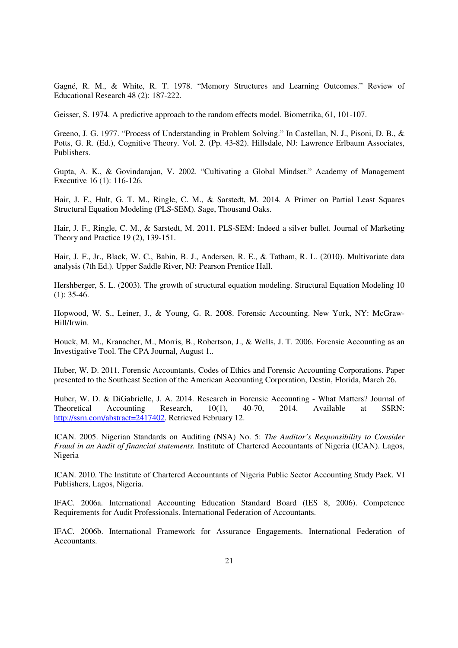Gagné, R. M., & White, R. T. 1978. "Memory Structures and Learning Outcomes." Review of Educational Research 48 (2): 187-222.

Geisser, S. 1974. A predictive approach to the random effects model. Biometrika, 61, 101-107.

Greeno, J. G. 1977. "Process of Understanding in Problem Solving." In Castellan, N. J., Pisoni, D. B., & Potts, G. R. (Ed.), Cognitive Theory. Vol. 2. (Pp. 43-82). Hillsdale, NJ: Lawrence Erlbaum Associates, Publishers.

Gupta, A. K., & Govindarajan, V. 2002. "Cultivating a Global Mindset." Academy of Management Executive 16 (1): 116-126.

Hair, J. F., Hult, G. T. M., Ringle, C. M., & Sarstedt, M. 2014. A Primer on Partial Least Squares Structural Equation Modeling (PLS-SEM). Sage, Thousand Oaks.

Hair, J. F., Ringle, C. M., & Sarstedt, M. 2011. PLS-SEM: Indeed a silver bullet. Journal of Marketing Theory and Practice 19 (2), 139-151.

Hair, J. F., Jr., Black, W. C., Babin, B. J., Andersen, R. E., & Tatham, R. L. (2010). Multivariate data analysis (7th Ed.). Upper Saddle River, NJ: Pearson Prentice Hall.

Hershberger, S. L. (2003). The growth of structural equation modeling. Structural Equation Modeling 10  $(1)$ : 35-46.

Hopwood, W. S., Leiner, J., & Young, G. R. 2008. Forensic Accounting. New York, NY: McGraw-Hill/Irwin.

Houck, M. M., Kranacher, M., Morris, B., Robertson, J., & Wells, J. T. 2006. Forensic Accounting as an Investigative Tool. The CPA Journal, August 1..

Huber, W. D. 2011. Forensic Accountants, Codes of Ethics and Forensic Accounting Corporations. Paper presented to the Southeast Section of the American Accounting Corporation, Destin, Florida, March 26.

Huber, W. D. & DiGabrielle, J. A. 2014. Research in Forensic Accounting - What Matters? Journal of Theoretical Accounting Research, 10(1), 40-70, 2014. Available at SSRN: http://ssrn.com/abstract=2417402. Retrieved February 12.

ICAN. 2005. Nigerian Standards on Auditing (NSA) No. 5: *The Auditor's Responsibility to Consider Fraud in an Audit of financial statements.* Institute of Chartered Accountants of Nigeria (ICAN). Lagos, Nigeria

ICAN. 2010. The Institute of Chartered Accountants of Nigeria Public Sector Accounting Study Pack. VI Publishers, Lagos, Nigeria.

IFAC. 2006a. International Accounting Education Standard Board (IES 8, 2006). Competence Requirements for Audit Professionals. International Federation of Accountants.

IFAC. 2006b. International Framework for Assurance Engagements. International Federation of Accountants.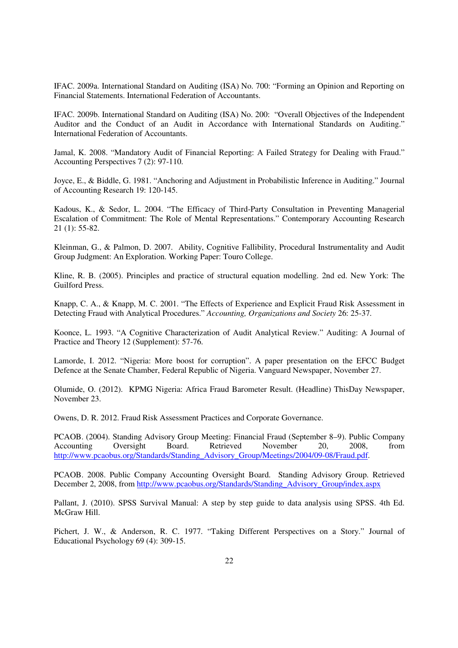IFAC. 2009a. International Standard on Auditing (ISA) No. 700: "Forming an Opinion and Reporting on Financial Statements. International Federation of Accountants.

IFAC. 2009b. International Standard on Auditing (ISA) No. 200: "Overall Objectives of the Independent Auditor and the Conduct of an Audit in Accordance with International Standards on Auditing." International Federation of Accountants.

Jamal, K. 2008. "Mandatory Audit of Financial Reporting: A Failed Strategy for Dealing with Fraud." Accounting Perspectives 7 (2): 97-110.

Joyce, E., & Biddle, G. 1981. "Anchoring and Adjustment in Probabilistic Inference in Auditing." Journal of Accounting Research 19: 120-145.

Kadous, K., & Sedor, L. 2004. "The Efficacy of Third-Party Consultation in Preventing Managerial Escalation of Commitment: The Role of Mental Representations." Contemporary Accounting Research 21 (1): 55-82.

Kleinman, G., & Palmon, D. 2007. Ability, Cognitive Fallibility, Procedural Instrumentality and Audit Group Judgment: An Exploration. Working Paper: Touro College.

Kline, R. B. (2005). Principles and practice of structural equation modelling. 2nd ed. New York: The Guilford Press.

Knapp, C. A., & Knapp, M. C. 2001. "The Effects of Experience and Explicit Fraud Risk Assessment in Detecting Fraud with Analytical Procedures." *Accounting, Organizations and Society* 26: 25-37.

Koonce, L. 1993. "A Cognitive Characterization of Audit Analytical Review." Auditing: A Journal of Practice and Theory 12 (Supplement): 57-76.

Lamorde, I. 2012. "Nigeria: More boost for corruption". A paper presentation on the EFCC Budget Defence at the Senate Chamber, Federal Republic of Nigeria. Vanguard Newspaper, November 27.

Olumide, O. (2012). KPMG Nigeria: Africa Fraud Barometer Result. (Headline) ThisDay Newspaper, November 23.

Owens, D. R. 2012. Fraud Risk Assessment Practices and Corporate Governance.

PCAOB. (2004). Standing Advisory Group Meeting: Financial Fraud (September 8–9). Public Company Accounting Oversight Board. Retrieved November 20, 2008, from http://www.pcaobus.org/Standards/Standing\_Advisory\_Group/Meetings/2004/09-08/Fraud.pdf.

PCAOB. 2008. Public Company Accounting Oversight Board. Standing Advisory Group. Retrieved December 2, 2008, from http://www.pcaobus.org/Standards/Standing\_Advisory\_Group/index.aspx

Pallant, J. (2010). SPSS Survival Manual: A step by step guide to data analysis using SPSS. 4th Ed. McGraw Hill.

Pichert, J. W., & Anderson, R. C. 1977. "Taking Different Perspectives on a Story." Journal of Educational Psychology 69 (4): 309-15.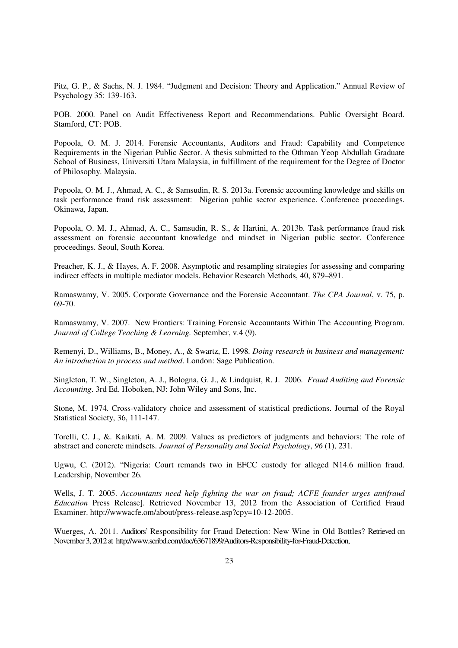Pitz, G. P., & Sachs, N. J. 1984. "Judgment and Decision: Theory and Application." Annual Review of Psychology 35: 139-163.

POB. 2000. Panel on Audit Effectiveness Report and Recommendations. Public Oversight Board. Stamford, CT: POB.

Popoola, O. M. J. 2014. Forensic Accountants, Auditors and Fraud: Capability and Competence Requirements in the Nigerian Public Sector. A thesis submitted to the Othman Yeop Abdullah Graduate School of Business, Universiti Utara Malaysia, in fulfillment of the requirement for the Degree of Doctor of Philosophy. Malaysia.

Popoola, O. M. J., Ahmad, A. C., & Samsudin, R. S. 2013a. Forensic accounting knowledge and skills on task performance fraud risk assessment: Nigerian public sector experience. Conference proceedings. Okinawa, Japan.

Popoola, O. M. J., Ahmad, A. C., Samsudin, R. S., & Hartini, A. 2013b. Task performance fraud risk assessment on forensic accountant knowledge and mindset in Nigerian public sector. Conference proceedings. Seoul, South Korea.

Preacher, K. J., & Hayes, A. F. 2008. Asymptotic and resampling strategies for assessing and comparing indirect effects in multiple mediator models. Behavior Research Methods, 40, 879–891.

Ramaswamy, V. 2005. Corporate Governance and the Forensic Accountant. *The CPA Journal*, v. 75, p. 69-70.

Ramaswamy, V. 2007. New Frontiers: Training Forensic Accountants Within The Accounting Program. *Journal of College Teaching & Learning.* September, v.4 (9).

Remenyi, D., Williams, B., Money, A., & Swartz, E. 1998. *Doing research in business and management: An introduction to process and method*. London: Sage Publication.

Singleton, T. W., Singleton, A. J., Bologna, G. J., & Lindquist, R. J. 2006. *Fraud Auditing and Forensic Accounting*. 3rd Ed. Hoboken, NJ: John Wiley and Sons, Inc.

Stone, M. 1974. Cross-validatory choice and assessment of statistical predictions. Journal of the Royal Statistical Society, 36, 111-147.

Torelli, C. J., &. Kaikati, A. M. 2009. Values as predictors of judgments and behaviors: The role of abstract and concrete mindsets. *Journal of Personality and Social Psychology*, *96* (1), 231.

Ugwu, C. (2012). "Nigeria: Court remands two in EFCC custody for alleged N14.6 million fraud. Leadership, November 26.

Wells, J. T. 2005. *Accountants need help fighting the war on fraud; ACFE founder urges antifraud Education* Press Release]. Retrieved November 13, 2012 from the Association of Certified Fraud Examiner. http://wwwacfe.om/about/press-release.asp?cpy=10-12-2005.

Wuerges, A. 2011. Auditors' Responsibility for Fraud Detection: New Wine in Old Bottles? Retrieved on November 3, 2012 at http://www.scribd.com/doc/63671899/Auditors-Responsibility-for-Fraud-Detection,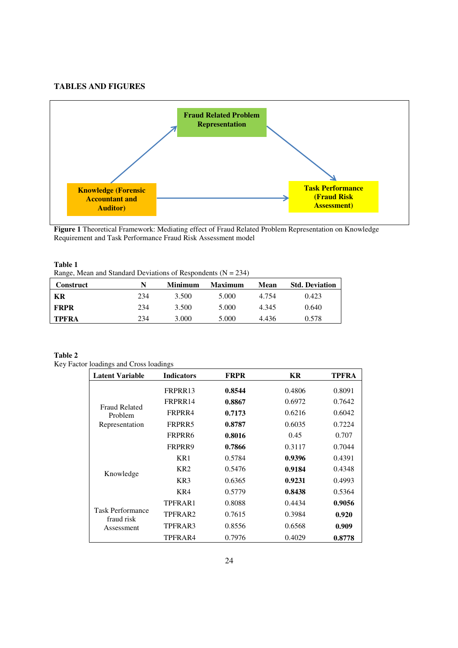# **TABLES AND FIGURES**



**Figure 1** Theoretical Framework: Mediating effect of Fraud Related Problem Representation on Knowledge Requirement and Task Performance Fraud Risk Assessment model

| Range, Mean and Standard Deviations of Respondents $(N = 234)$ |  |
|----------------------------------------------------------------|--|
|----------------------------------------------------------------|--|

| <b>Construct</b> | N   | Minimum | <b>Maximum</b> | Mean  | <b>Std. Deviation</b> |
|------------------|-----|---------|----------------|-------|-----------------------|
| KR               | 234 | 3.500   | 5.000          | 4.754 | 0.423                 |
| <b>FRPR</b>      | 234 | 3.500   | 5.000          | 4.345 | 0.640                 |
| <b>TPFRA</b>     | 234 | 3.000   | 5.000          | 4.436 | 0.578                 |

#### **Table 2**

Key Factor loadings and Cross loadings

| o<br><b>Latent Variable</b>     | <b>Indicators</b> | <b>FRPR</b> | <b>KR</b> | <b>TPFRA</b> |
|---------------------------------|-------------------|-------------|-----------|--------------|
|                                 | FRPRR13           | 0.8544      | 0.4806    | 0.8091       |
|                                 | FRPRR14           | 0.8867      | 0.6972    | 0.7642       |
| <b>Fraud Related</b><br>Problem | FRPRR4            | 0.7173      | 0.6216    | 0.6042       |
| Representation                  | FRPRR5            | 0.8787      | 0.6035    | 0.7224       |
|                                 | FRPRR6            | 0.8016      | 0.45      | 0.707        |
|                                 | FRPRR9            | 0.7866      | 0.3117    | 0.7044       |
|                                 | KR1               | 0.5784      | 0.9396    | 0.4391       |
|                                 | KR <sub>2</sub>   | 0.5476      | 0.9184    | 0.4348       |
| Knowledge                       | KR3               | 0.6365      | 0.9231    | 0.4993       |
|                                 | KR4               | 0.5779      | 0.8438    | 0.5364       |
|                                 | TPFRAR1           | 0.8088      | 0.4434    | 0.9056       |
| Task Performance                | TPFRAR2           | 0.7615      | 0.3984    | 0.920        |
| fraud risk<br>Assessment        | TPFRAR3           | 0.8556      | 0.6568    | 0.909        |
|                                 | TPFRAR4           | 0.7976      | 0.4029    | 0.8778       |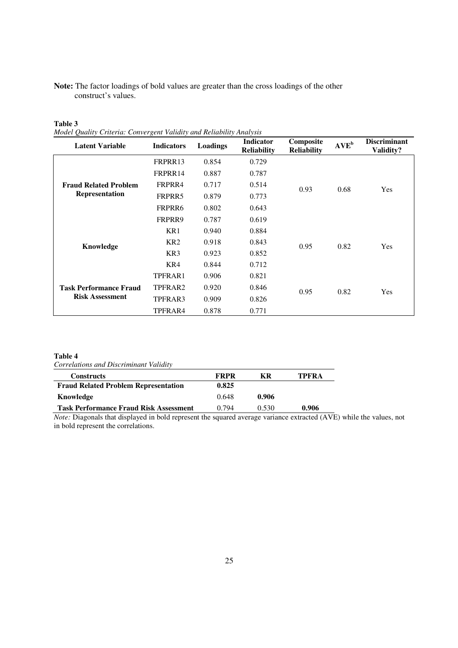# **Note:** The factor loadings of bold values are greater than the cross loadings of the other construct's values.

| <b>Latent Variable</b>                                | <b>Indicators</b> | Loadings | Indicator<br><b>Reliability</b> | Composite<br><b>Reliability</b> | $AVE^{b}$ | <b>Discriminant</b><br>Validity? |  |
|-------------------------------------------------------|-------------------|----------|---------------------------------|---------------------------------|-----------|----------------------------------|--|
|                                                       | FRPRR13           | 0.854    | 0.729                           |                                 |           |                                  |  |
|                                                       | FRPRR14           | 0.887    | 0.787                           |                                 | 0.68      | Yes                              |  |
| <b>Fraud Related Problem</b><br><b>Representation</b> | FRPRR4            | 0.717    | 0.514                           | 0.93                            |           |                                  |  |
|                                                       | FRPRR5            | 0.879    | 0.773                           |                                 |           |                                  |  |
|                                                       | FRPRR6            | 0.802    | 0.643                           |                                 |           |                                  |  |
|                                                       | FRPRR9            | 0.787    | 0.619                           |                                 |           |                                  |  |
|                                                       | KR1               | 0.940    | 0.884                           |                                 |           | Yes                              |  |
| Knowledge                                             | KR <sub>2</sub>   | 0.918    | 0.843                           | 0.95                            | 0.82      |                                  |  |
|                                                       | KR3               | 0.923    | 0.852                           |                                 |           |                                  |  |
|                                                       | KR4               | 0.844    | 0.712                           |                                 |           |                                  |  |
|                                                       | TPFRAR1           | 0.906    | 0.821                           |                                 |           |                                  |  |
| <b>Task Performance Fraud</b>                         | TPFRAR2           | 0.920    | 0.846                           | 0.95                            | 0.82      | Yes                              |  |
| <b>Risk Assessment</b>                                | TPFRAR3           | 0.909    | 0.826                           |                                 |           |                                  |  |
|                                                       | TPFRAR4           | 0.878    | 0.771                           |                                 |           |                                  |  |

#### **Table 3**  *Model Quality Criteria: Convergent Validity and Reliability Analysis*

# **Table 4**

*Correlations and Discriminant Validity* 

| <b>Constructs</b>                             | <b>FRPR</b> | КR    | <b>TPFRA</b> |
|-----------------------------------------------|-------------|-------|--------------|
| <b>Fraud Related Problem Representation</b>   | 0.825       |       |              |
| Knowledge                                     | 0.648       | 0.906 |              |
| <b>Task Performance Fraud Risk Assessment</b> | 0.794       | 0.530 | 0.906        |

*Note:* Diagonals that displayed in bold represent the squared average variance extracted (AVE) while the values, not in bold represent the correlations.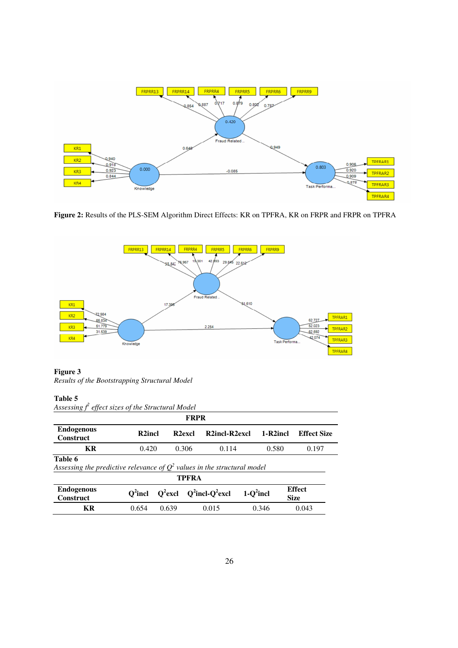

**Figure 2:** Results of the PLS-SEM Algorithm Direct Effects: KR on TPFRA, KR on FRPR and FRPR on TPFRA



**Figure 3**  *Results of the Bootstrapping Structural Model* 

### **Table 5**

| <b>FRPR</b>                                                                           |            |       |                                   |               |              |          |                              |  |  |
|---------------------------------------------------------------------------------------|------------|-------|-----------------------------------|---------------|--------------|----------|------------------------------|--|--|
| <b>Endogenous</b><br><b>Construct</b>                                                 | R2incl     |       | R <sub>2</sub> excl               | R2incl-R2excl |              | 1-R2incl | <b>Effect Size</b>           |  |  |
| <b>KR</b>                                                                             | 0.420      |       | 0.306                             | 0.114         |              | 0.580    | 0.197                        |  |  |
| Table 6<br>Assessing the predictive relevance of $Q^2$ values in the structural model |            |       | <b>TPFRA</b>                      |               |              |          |                              |  |  |
| <b>Endogenous</b><br><b>Construct</b>                                                 | $O^2$ incl |       | $Q^2$ excl $Q^2$ incl- $Q^2$ excl |               | $1-O^2$ incl |          | <b>Effect</b><br><b>Size</b> |  |  |
| KR                                                                                    | 0.654      | 0.639 |                                   | 0.015         |              | 0.346    | 0.043                        |  |  |